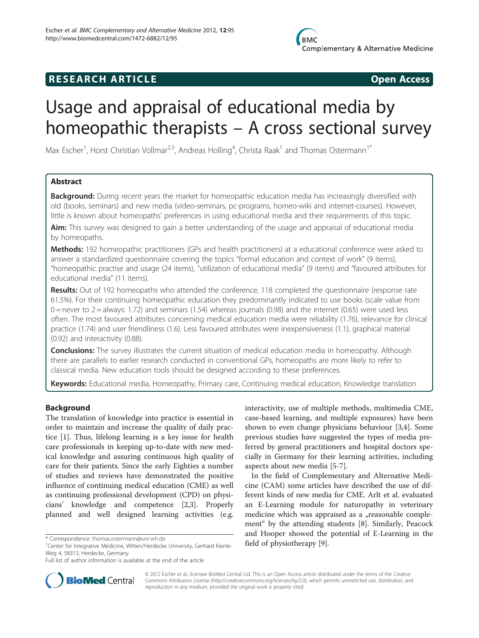# **RESEARCH ARTICLE Example 2014 CONSIDERING CONSIDERING CONSIDERING CONSIDERING CONSIDERING CONSIDERING CONSIDERING CONSIDERING CONSIDERING CONSIDERING CONSIDERING CONSIDERING CONSIDERING CONSIDERING CONSIDERING CONSIDE**

# Usage and appraisal of educational media by homeopathic therapists – A cross sectional survey

Max Escher<sup>1</sup>, Horst Christian Vollmar<sup>2,3</sup>, Andreas Holling<sup>4</sup>, Christa Raak<sup>1</sup> and Thomas Ostermann<sup>1\*</sup>

# Abstract

Background: During recent years the market for homeopathic education media has increasingly diversified with old (books, seminars) and new media (video-seminars, pc-programs, homeo-wiki and internet-courses). However, little is known about homeopaths' preferences in using educational media and their requirements of this topic.

Aim: This survey was designed to gain a better understanding of the usage and appraisal of educational media by homeopaths.

Methods: 192 homeopathic practitioners (GPs and health practitioners) at a educational conference were asked to answer a standardized questionnaire covering the topics "formal education and context of work" (9 items), "homeopathic practise and usage (24 items), "utilization of educational media" (9 items) and "favoured attributes for educational media" (11 items).

Results: Out of 192 homeopaths who attended the conference, 118 completed the questionnaire (response rate 61.5%). For their continuing homeopathic education they predominantly indicated to use books (scale value from  $0 =$  never to  $2 =$  always: 1.72) and seminars (1.54) whereas journals (0.98) and the internet (0.65) were used less often. The most favoured attributes concerning medical education media were reliability (1.76), relevance for clinical practice (1.74) and user friendliness (1.6). Less favoured attributes were inexpensiveness (1.1), graphical material (0.92) and interactivity (0.88).

**Conclusions:** The survey illustrates the current situation of medical education media in homeopathy. Although there are parallels to earlier research conducted in conventional GPs, homeopaths are more likely to refer to classical media. New education tools should be designed according to these preferences.

Keywords: Educational media, Homeopathy, Primary care, Continuing medical education, Knowledge translation

# Background

The translation of knowledge into practice is essential in order to maintain and increase the quality of daily practice [\[1](#page-6-0)]. Thus, lifelong learning is a key issue for health care professionals in keeping up-to-date with new medical knowledge and assuring continuous high quality of care for their patients. Since the early Eighties a number of studies and reviews have demonstrated the positive influence of continuing medical education (CME) as well as continuing professional development (CPD) on physicians' knowledge and competence [[2,3\]](#page-6-0). Properly planned and well designed learning activities (e.g.

interactivity, use of multiple methods, multimedia CME, case-based learning, and multiple exposures) have been shown to even change physicians behaviour [[3,4\]](#page-6-0). Some previous studies have suggested the types of media preferred by general practitioners and hospital doctors specially in Germany for their learning activities, including aspects about new media [[5-7](#page-6-0)].

In the field of Complementary and Alternative Medicine (CAM) some articles have described the use of different kinds of new media for CME. Arlt et al. evaluated an E-Learning module for naturopathy in veterinary medicine which was appraised as a "reasonable complement" by the attending students [[8\]](#page-6-0). Similarly, Peacock and Hooper showed the potential of E-Learning in the



© 2012 Escher et al.; licensee BioMed Central Ltd. This is an Open Access article distributed under the terms of the Creative Commons Attribution License [\(http://creativecommons.org/licenses/by/2.0\)](http://creativecommons.org/licenses/by/2.0), which permits unrestricted use, distribution, and reproduction in any medium, provided the original work is properly cited.

<sup>\*</sup> Correspondence: [thomas.ostermann@uni-wh.de](mailto:thomas.ostermann@uni-wh.de) **1999 and 1999 and 1999 and 1999 and 1999**<br>I Center for Integrative Medicine, Witten/Herdecke University, Gerhard Kienle-**field of physiotherapy** [\[9](#page-6-0)]. Weg 4, 58313, Herdecke, Germany

Full list of author information is available at the end of the article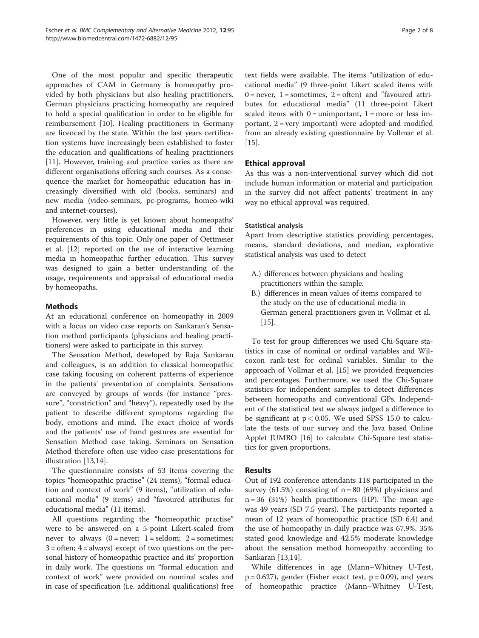One of the most popular and specific therapeutic approaches of CAM in Germany is homeopathy provided by both physicians but also healing practitioners. German physicians practicing homeopathy are required to hold a special qualification in order to be eligible for reimbursement [\[10\]](#page-6-0). Healing practitioners in Germany are licenced by the state. Within the last years certification systems have increasingly been established to foster the education and qualifications of healing practitioners [[11\]](#page-6-0). However, training and practice varies as there are different organisations offering such courses. As a consequence the market for homeopathic education has increasingly diversified with old (books, seminars) and new media (video-seminars, pc-programs, homeo-wiki and internet-courses).

However, very little is yet known about homeopaths' preferences in using educational media and their requirements of this topic. Only one paper of Oettmeier et al. [[12](#page-6-0)] reported on the use of interactive learning media in homeopathic further education. This survey was designed to gain a better understanding of the usage, requirements and appraisal of educational media by homeopaths.

# Methods

At an educational conference on homeopathy in 2009 with a focus on video case reports on Sankaran's Sensation method participants (physicians and healing practitioners) were asked to participate in this survey.

The Sensation Method, developed by Raja Sankaran and colleagues, is an addition to classical homeopathic case taking focusing on coherent patterns of experience in the patients' presentation of complaints. Sensations are conveyed by groups of words (for instance "pressure", "constriction" and "heavy"), repeatedly used by the patient to describe different symptoms regarding the body, emotions and mind. The exact choice of words and the patients' use of hand gestures are essential for Sensation Method case taking. Seminars on Sensation Method therefore often use video case presentations for illustration [\[13,14\]](#page-6-0).

The questionnaire consists of 53 items covering the topics "homeopathic practise" (24 items), "formal education and context of work" (9 items), "utilization of educational media" (9 items) and "favoured attributes for educational media" (11 items).

All questions regarding the "homeopathic practise" were to be answered on a 5-point Likert-scaled from never to always  $(0 = never; 1 = seldom; 2 = sometimes;$ 3 = often; 4 = always) except of two questions on the personal history of homeopathic practice and its' proportion in daily work. The questions on "formal education and context of work" were provided on nominal scales and in case of specification (i.e. additional qualifications) free

text fields were available. The items "utilization of educational media" (9 three-point Likert scaled items with  $0 =$  never,  $1 =$  sometimes,  $2 =$  often) and "favoured attributes for educational media" (11 three-point Likert scaled items with  $0 =$  unimportant,  $1 =$  more or less important, 2 = very important) were adopted and modified from an already existing questionnaire by Vollmar et al. [[15\]](#page-6-0).

# Ethical approval

As this was a non-interventional survey which did not include human information or material and participation in the survey did not affect patients' treatment in any way no ethical approval was required.

# Statistical analysis

Apart from descriptive statistics providing percentages, means, standard deviations, and median, explorative statistical analysis was used to detect

- A.) differences between physicians and healing practitioners within the sample.
- B.) differences in mean values of items compared to the study on the use of educational media in German general practitioners given in Vollmar et al. [[15](#page-6-0)].

To test for group differences we used Chi-Square statistics in case of nominal or ordinal variables and Wilcoxon rank-test for ordinal variables. Similar to the approach of Vollmar et al. [\[15](#page-6-0)] we provided frequencies and percentages. Furthermore, we used the Chi-Square statistics for independent samples to detect differences between homeopaths and conventional GPs. Independent of the statistical test we always judged a difference to be significant at  $p < 0.05$ . We used SPSS 15.0 to calculate the tests of our survey and the Java based Online Applet JUMBO [\[16](#page-6-0)] to calculate Chi-Square test statistics for given proportions.

# Results

Out of 192 conference attendants 118 participated in the survey  $(61.5%)$  consisting of  $n = 80$  (69%) physicians and  $n = 36$  (31%) health practitioners (HP). The mean age was 49 years (SD 7.5 years). The participants reported a mean of 12 years of homeopathic practice (SD 6.4) and the use of homeopathy in daily practice was 67.9%. 35% stated good knowledge and 42.5% moderate knowledge about the sensation method homeopathy according to Sankaran [\[13,14](#page-6-0)].

While differences in age (Mann–Whitney U-Test,  $p = 0.627$ ), gender (Fisher exact test,  $p = 0.09$ ), and years of homeopathic practice (Mann–Whitney U-Test,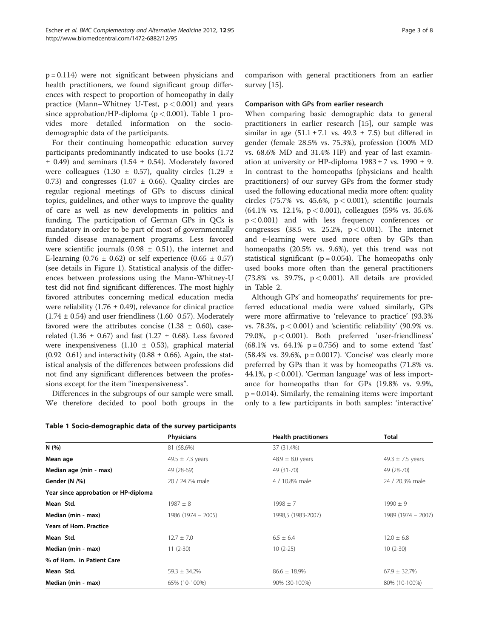$p = 0.114$ ) were not significant between physicians and health practitioners, we found significant group differences with respect to proportion of homeopathy in daily practice (Mann–Whitney U-Test,  $p < 0.001$ ) and years since approbation/HP-diploma ( $p < 0.001$ ). Table 1 provides more detailed information on the sociodemographic data of the participants.

For their continuing homeopathic education survey participants predominantly indicated to use books (1.72  $\pm$  0.49) and seminars (1.54  $\pm$  0.54). Moderately favored were colleagues (1.30  $\pm$  0.57), quality circles (1.29  $\pm$ 0.73) and congresses (1.07  $\pm$  0.66). Quality circles are regular regional meetings of GPs to discuss clinical topics, guidelines, and other ways to improve the quality of care as well as new developments in politics and funding. The participation of German GPs in QCs is mandatory in order to be part of most of governmentally funded disease management programs. Less favored were scientific journals (0.98  $\pm$  0.51), the internet and E-learning (0.76  $\pm$  0.62) or self experience (0.65  $\pm$  0.57) (see details in Figure [1](#page-3-0)). Statistical analysis of the differences between professions using the Mann-Whitney-U test did not find significant differences. The most highly favored attributes concerning medical education media were reliability (1.76  $\pm$  0.49), relevance for clinical practice  $(1.74 \pm 0.54)$  and user friendliness (1.60 0.57). Moderately favored were the attributes concise  $(1.38 \pm 0.60)$ , caserelated (1.36  $\pm$  0.67) and fast (1.27  $\pm$  0.68). Less favored were inexpensiveness  $(1.10 \pm 0.53)$ , graphical material (0.92 0.61) and interactivity (0.88  $\pm$  0.66). Again, the statistical analysis of the differences between professions did not find any significant differences between the professions except for the item "inexpensiveness".

Differences in the subgroups of our sample were small. We therefore decided to pool both groups in the

Table 1 Socio-demographic data of the survey participants

#### Comparison with GPs from earlier research

When comparing basic demographic data to general practitioners in earlier research [\[15\]](#page-6-0), our sample was similar in age  $(51.1 \pm 7.1 \text{ vs. } 49.3 \pm 7.5)$  but differed in gender (female 28.5% vs. 75.3%), profession (100% MD vs. 68.6% MD and 31.4% HP) and year of last examination at university or HP-diploma  $1983 \pm 7$  vs.  $1990 \pm 9$ . In contrast to the homeopaths (physicians and health practitioners) of our survey GPs from the former study used the following educational media more often: quality circles (75.7% vs. 45.6%,  $p < 0.001$ ), scientific journals  $(64.1\% \text{ vs. } 12.1\%, \text{ p} < 0.001),$  colleagues (59% vs. 35.6%) p < 0.001) and with less frequency conferences or congresses (38.5 vs. 25.2%,  $p < 0.001$ ). The internet and e-learning were used more often by GPs than homeopaths (20.5% vs. 9.6%), yet this trend was not statistical significant ( $p = 0.054$ ). The homeopaths only used books more often than the general practitioners (73.8% vs. 39.7%,  $p < 0.001$ ). All details are provided in Table [2](#page-3-0).

Although GPs' and homeopaths' requirements for preferred educational media were valued similarly, GPs were more affirmative to 'relevance to practice' (93.3% vs. 78.3%,  $p < 0.001$ ) and 'scientific reliability' (90.9% vs. 79.0%, p < 0.001). Both preferred 'user-friendliness'  $(68.1\% \text{ vs. } 64.1\% \text{ p} = 0.756)$  and to some extend 'fast' (58.4% vs. 39.6%, p = 0.0017). 'Concise' was clearly more preferred by GPs than it was by homeopaths (71.8% vs. 44.1%,  $p < 0.001$ ). 'German language' was of less importance for homeopaths than for GPs (19.8% vs. 9.9%, p = 0.014). Similarly, the remaining items were important only to a few participants in both samples: 'interactive'

|                                      | <b>Physicians</b>    | <b>Health practitioners</b> | Total                |
|--------------------------------------|----------------------|-----------------------------|----------------------|
| N(%)                                 | 81 (68.6%)           | 37 (31.4%)                  |                      |
| Mean age                             | 49.5 $\pm$ 7.3 years | 48.9 $\pm$ 8.0 years        | 49.3 $\pm$ 7.5 years |
| Median age (min - max)               | 49 (28-69)           | 49 (31-70)                  | 49 (28-70)           |
| Gender (N /%)                        | 20 / 24.7% male      | 4 / 10.8% male              | 24 / 20.3% male      |
| Year since approbation or HP-diploma |                      |                             |                      |
| Mean Std.                            | $1987 \pm 8$         | $1998 \pm 7$                | $1990 \pm 9$         |
| Median (min - max)                   | $1986(1974 - 2005)$  | 1998,5 (1983-2007)          | 1989 (1974 - 2007)   |
| <b>Years of Hom. Practice</b>        |                      |                             |                      |
| Mean Std.                            | $12.7 \pm 7.0$       | $6.5 \pm 6.4$               | $12.0 \pm 6.8$       |
| Median (min - max)                   | $11(2-30)$           | $10(2-25)$                  | $10(2-30)$           |
| % of Hom. in Patient Care            |                      |                             |                      |
| Mean Std.                            | $59.3 \pm 34.2\%$    | $86.6 \pm 18.9\%$           | $67.9 \pm 32.7\%$    |
| Median (min - max)                   | 65% (10-100%)        | 90% (30-100%)               | 80% (10-100%)        |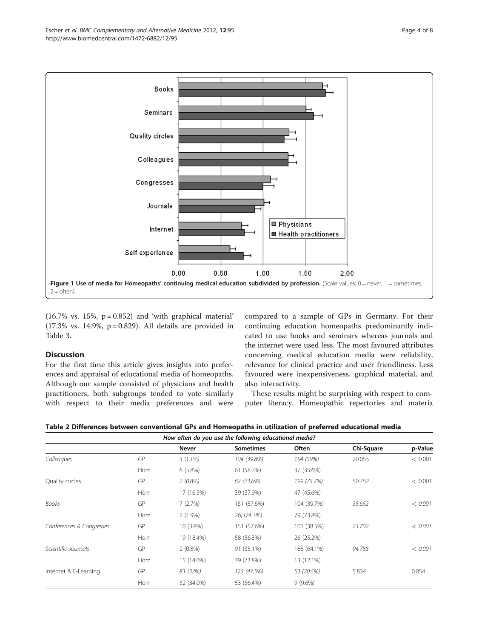

<span id="page-3-0"></span>

(16.7% vs. 15%,  $p = 0.852$ ) and 'with graphical material' (17.3% vs. 14.9%,  $p = 0.829$ ). All details are provided in Table [3.](#page-4-0)

# **Discussion**

For the first time this article gives insights into preferences and appraisal of educational media of homeopaths. Although our sample consisted of physicians and health practitioners, both subgroups tended to vote similarly with respect to their media preferences and were compared to a sample of GPs in Germany. For their continuing education homeopaths predominantly indicated to use books and seminars whereas journals and the internet were used less. The most favoured attributes concerning medical education media were reliability, relevance for clinical practice and user friendliness. Less favoured were inexpensiveness, graphical material, and also interactivity.

These results might be surprising with respect to computer literacy. Homeopathic repertories and materia

| Table 2 Differences between conventional GPs and Homeopaths in utilization of preferred educational media |  |  |  |  |
|-----------------------------------------------------------------------------------------------------------|--|--|--|--|
|-----------------------------------------------------------------------------------------------------------|--|--|--|--|

| How often do you use the following educational media? |            |            |                  |              |            |         |
|-------------------------------------------------------|------------|------------|------------------|--------------|------------|---------|
|                                                       |            | Never      | <b>Sometimes</b> | <b>Often</b> | Chi-Square | p-Value |
| Colleagues                                            | GP         | $3(1.1\%)$ | 104 (39.8%)      | 154 (59%)    | 20.055     | < 0.001 |
|                                                       | <b>Hom</b> | $6(5.8\%)$ | 61 (58.7%)       | 37 (35.6%)   |            |         |
| Quality circles                                       | GP         | 2(0.8%)    | 62(23.6%)        | 199 (75.7%)  | 50.752     | < 0.001 |
|                                                       | Hom        | 17 (16.5%) | 39 (37.9%)       | 47 (45.6%)   |            |         |
| Books                                                 | GP         | 7(2.7%)    | 151 (57.6%)      | 104 (39.7%)  | 35.652     | < 0.001 |
|                                                       | Hom        | $2(1.9\%)$ | 26, (24.3%)      | 79 (73.8%)   |            |         |
| Conferences & Congresses                              | GP         | 10 (3.8%)  | 151 (57.6%)      | 101 (38.5%)  | 23.702     | < 0.001 |
|                                                       | <b>Hom</b> | 19 (18.4%) | 58 (56.3%)       | 26 (25.2%)   |            |         |
| Scientific Journals                                   | GP         | $2(0.8\%)$ | 91 (35.1%)       | 166 (64.1%)  | 94.788     | < 0.001 |
|                                                       | Hom        | 15 (14.0%) | 79 (73.8%)       | 13 (12.1%)   |            |         |
| Internet & E-Learning                                 | GP         | 83 (32%)   | 123 (47.5%)      | 53 (20.5%)   | 5.834      | 0.054   |
|                                                       | Hom        | 32 (34.0%) | 53 (56.4%)       | $9(9.6\%)$   |            |         |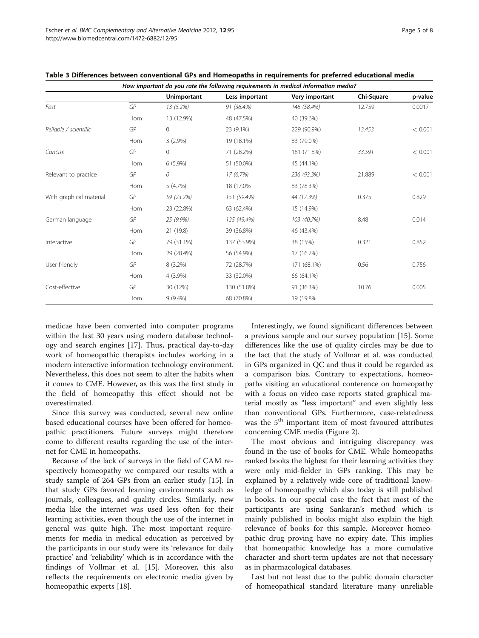| How important do you rate the following requirements in medical information media? |     |                    |                |                |            |         |
|------------------------------------------------------------------------------------|-----|--------------------|----------------|----------------|------------|---------|
|                                                                                    |     | <b>Unimportant</b> | Less important | Very important | Chi-Square | p-value |
| Fast                                                                               | GP  | 13 (5.2%)          | 91 (36.4%)     | 146 (58.4%)    | 12.759     | 0.0017  |
|                                                                                    | Hom | 13 (12.9%)         | 48 (47.5%)     | 40 (39.6%)     |            |         |
| Reliable / scientific                                                              | GP  | $\mathbf{0}$       | 23 (9.1%)      | 229 (90.9%)    | 13.453     | < 0.001 |
|                                                                                    | Hom | $3(2.9\%)$         | 19 (18.1%)     | 83 (79.0%)     |            |         |
| Concise                                                                            | GP  | $\mathbf{0}$       | 71 (28.2%)     | 181 (71.8%)    | 33.591     | < 0.001 |
|                                                                                    | Hom | $6(5.9\%)$         | 51 (50.0%)     | 45 (44.1%)     |            |         |
| Relevant to practice                                                               | GP  | 0                  | 17(6.7%)       | 236 (93.3%)    | 21.889     | < 0.001 |
|                                                                                    | Hom | 5(4.7%)            | 18 (17.0%)     | 83 (78.3%)     |            |         |
| With graphical material                                                            | GP  | 59 (23.2%)         | 151 (59.4%)    | 44 (17.3%)     | 0.375      | 0.829   |
|                                                                                    | Hom | 23 (22.8%)         | 63 (62.4%)     | 15 (14.9%)     |            |         |
| German language                                                                    | GP  | 25 (9.9%)          | 125 (49.4%)    | 103 (40.7%)    | 8.48       | 0.014   |
|                                                                                    | Hom | 21 (19.8)          | 39 (36.8%)     | 46 (43.4%)     |            |         |
| Interactive                                                                        | GP  | 79 (31.1%)         | 137 (53.9%)    | 38 (15%)       | 0.321      | 0.852   |
|                                                                                    | Hom | 29 (28.4%)         | 56 (54.9%)     | 17 (16.7%)     |            |         |
| User friendly                                                                      | GP  | 8 (3.2%)           | 72 (28.7%)     | 171 (68.1%)    | 0.56       | 0.756   |
|                                                                                    | Hom | 4 (3.9%)           | 33 (32.0%)     | 66 (64.1%)     |            |         |
| Cost-effective                                                                     | GP  | 30 (12%)           | 130 (51.8%)    | 91 (36.3%)     | 10.76      | 0.005   |
|                                                                                    | Hom | $9(9.4\%)$         | 68 (70.8%)     | 19 (19.8%)     |            |         |

<span id="page-4-0"></span>

| Table 3 Differences between conventional GPs and Homeopaths in requirements for preferred educational media |  |  |
|-------------------------------------------------------------------------------------------------------------|--|--|
|-------------------------------------------------------------------------------------------------------------|--|--|

medicae have been converted into computer programs within the last 30 years using modern database technology and search engines [[17\]](#page-6-0). Thus, practical day-to-day work of homeopathic therapists includes working in a modern interactive information technology environment. Nevertheless, this does not seem to alter the habits when it comes to CME. However, as this was the first study in the field of homeopathy this effect should not be overestimated.

Since this survey was conducted, several new online based educational courses have been offered for homeopathic practitioners. Future surveys might therefore come to different results regarding the use of the internet for CME in homeopaths.

Because of the lack of surveys in the field of CAM respectively homeopathy we compared our results with a study sample of 264 GPs from an earlier study [[15\]](#page-6-0). In that study GPs favored learning environments such as journals, colleagues, and quality circles. Similarly, new media like the internet was used less often for their learning activities, even though the use of the internet in general was quite high. The most important requirements for media in medical education as perceived by the participants in our study were its 'relevance for daily practice' and 'reliability' which is in accordance with the findings of Vollmar et al. [\[15](#page-6-0)]. Moreover, this also reflects the requirements on electronic media given by homeopathic experts [\[18](#page-6-0)].

Interestingly, we found significant differences between a previous sample and our survey population [[15](#page-6-0)]. Some differences like the use of quality circles may be due to the fact that the study of Vollmar et al. was conducted in GPs organized in QC and thus it could be regarded as a comparison bias. Contrary to expectations, homeopaths visiting an educational conference on homeopathy with a focus on video case reports stated graphical material mostly as "less important" and even slightly less than conventional GPs. Furthermore, case-relatedness was the 5<sup>th</sup> important item of most favoured attributes concerning CME media (Figure [2\)](#page-5-0).

The most obvious and intriguing discrepancy was found in the use of books for CME. While homeopaths ranked books the highest for their learning activities they were only mid-fielder in GPs ranking. This may be explained by a relatively wide core of traditional knowledge of homeopathy which also today is still published in books. In our special case the fact that most of the participants are using Sankaran's method which is mainly published in books might also explain the high relevance of books for this sample. Moreover homeopathic drug proving have no expiry date. This implies that homeopathic knowledge has a more cumulative character and short-term updates are not that necessary as in pharmacological databases.

Last but not least due to the public domain character of homeopathical standard literature many unreliable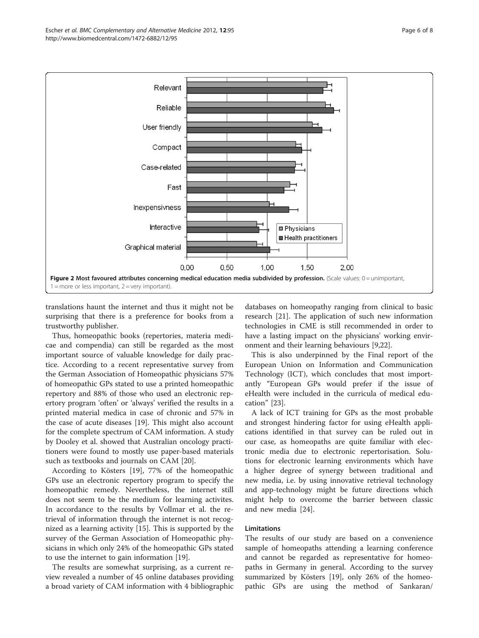<span id="page-5-0"></span>

translations haunt the internet and thus it might not be surprising that there is a preference for books from a trustworthy publisher.

Thus, homeopathic books (repertories, materia medicae and compendia) can still be regarded as the most important source of valuable knowledge for daily practice. According to a recent representative survey from the German Association of Homeopathic physicians 57% of homeopathic GPs stated to use a printed homeopathic repertory and 88% of those who used an electronic repertory program 'often' or 'always' verified the results in a printed material medica in case of chronic and 57% in the case of acute diseases [[19](#page-6-0)]. This might also account for the complete spectrum of CAM information. A study by Dooley et al. showed that Australian oncology practitioners were found to mostly use paper-based materials such as textbooks and journals on CAM [[20](#page-6-0)].

According to Kösters [\[19](#page-6-0)], 77% of the homeopathic GPs use an electronic repertory program to specify the homeopathic remedy. Nevertheless, the internet still does not seem to be the medium for learning activites. In accordance to the results by Vollmar et al. the retrieval of information through the internet is not recognized as a learning activity [\[15\]](#page-6-0). This is supported by the survey of the German Association of Homeopathic physicians in which only 24% of the homeopathic GPs stated to use the internet to gain information [\[19\]](#page-6-0).

The results are somewhat surprising, as a current review revealed a number of 45 online databases providing a broad variety of CAM information with 4 bibliographic

databases on homeopathy ranging from clinical to basic research [[21\]](#page-6-0). The application of such new information technologies in CME is still recommended in order to have a lasting impact on the physicians' working environment and their learning behaviours [[9,](#page-6-0)[22\]](#page-7-0).

This is also underpinned by the Final report of the European Union on Information and Communication Technology (ICT), which concludes that most importantly "European GPs would prefer if the issue of eHealth were included in the curricula of medical education" [[23\]](#page-7-0).

A lack of ICT training for GPs as the most probable and strongest hindering factor for using eHealth applications identified in that survey can be ruled out in our case, as homeopaths are quite familiar with electronic media due to electronic repertorisation. Solutions for electronic learning environments which have a higher degree of synergy between traditional and new media, i.e. by using innovative retrieval technology and app-technology might be future directions which might help to overcome the barrier between classic and new media [\[24\]](#page-7-0).

### Limitations

The results of our study are based on a convenience sample of homeopaths attending a learning conference and cannot be regarded as representative for homeopaths in Germany in general. According to the survey summarized by Kösters [\[19](#page-6-0)], only 26% of the homeopathic GPs are using the method of Sankaran/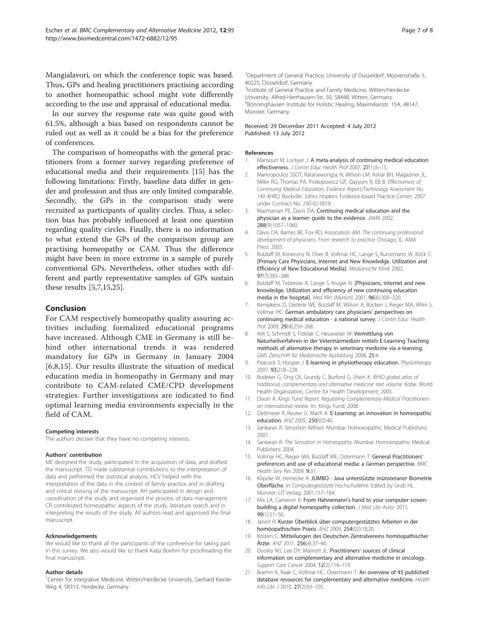<span id="page-6-0"></span>Mangialavori, on which the conference topic was based. Thus, GPs and healing practitioners practising according to another homeopathic school might vote differently according to the use and appraisal of educational media.

In our survey the response rate was quite good with 61.5%, although a bias based on respondents cannot be ruled out as well as it could be a bias for the preference of conferences.

The comparison of homeopaths with the general practitioners from a former survey regarding preference of educational media and their requirements [15] has the following limitations: Firstly, baseline data differ in gender and profession and thus are only limited comparable. Secondly, the GPs in the comparison study were recruited as participants of quality circles. Thus, a selection bias has probably influenced at least one question regarding quality circles. Finally, there is no information to what extend the GPs of the comparison group are practising homeopathy or CAM. Thus the difference might have been in more extreme in a sample of purely conventional GPs. Nevertheless, other studies with different and partly representative samples of GPs sustain these results [5,7,15,[25](#page-7-0)].

#### Conclusion

For CAM respectively homeopathy quality assuring activities including formalized educational programs have increased. Although CME in Germany is still behind other international trends it was rendered mandatory for GPs in Germany in January 2004 [6,8,15]. Our results illustrate the situation of medical education media in homeopathy in Germany and may contribute to CAM-related CME/CPD development strategies. Further investigations are indicated to find optimal learning media environments especially in the field of CAM.

#### Competing interests

The authors declare that they have no competing interests.

#### Authors' contribution

ME designed the study, participated in the acquisition of data, and drafted the manuscript. TO made substantial contributions to the interpretation of data and performed the statistical analysis. HCV helped with the interpretation of the data in the context of family practice and in drafting and critical revising of the manuscript. AH participated in design and coordination of the study and organised the process of data management. CR contributed homeopathic aspects of the study, literature search and in interpreting the results of the study. All authors read and approved the final manuscript.

#### Acknowledgements

We would like to thank all the participants of the conference for taking part in this survey. We also would like to thank Katja Boehm for proofreading the final manuscript.

#### Author details

<sup>1</sup>Center for Integrative Medicine, Witten/Herdecke University, Gerhard Kienle-Weg 4, 58313, Herdecke, Germany.

<sup>2</sup> Department of General Practice, University of Düsseldorf, Moorenstraße 5 40225, Düsseldorf, Germany.

<sup>3</sup>Institute of General Practice and Family Medicine, Witten/Herdecke University, Alfred-Herrhausen-Str. 50, 58448, Witten, Germany. 4 Bönninghausen Institute for Holistic Healing, Maximilianstr. 15A, 48147, Münster, Germany.

#### Received: 29 December 2011 Accepted: 4 July 2012 Published: 13 July 2012

#### References

- 1. Mansouri M, Lockyer J: A meta-analysis of continuing medical education effectiveness. J Contin Educ Health Prof 2007, 27(1):6–15.
- 2. Marinopoulos SSDT, Ratanawongsa N, Wilson LM, Ashar BH, Magaziner JL, Miller RG, Thomas PA, Prokopowicz GP, Qayyum R, EB B: Effectiveness of Continuing Medical Education. Evidence Report/Technology Assessment No. 149 AHRQ. Rockville: Johns Hopkins Evidence-based Practice Center; 2007. under Contract No. 290-02-0018.
- 3. Mazmanian PE, Davis DA: Continuing medical education and the physician as a learner: guide to the evidence. JAMA 2002, 288(9):1057–1060.
- 4. Davis DA, Barnes BE, Fox RD, Association AM: The continuing professional development of physicians. From research to practice. Chicago, IL: AMA Press; 2003.
- 5. Butzlaff M, Koneczny N, Floer B, Vollmar HC, Lange S, Kunstmann W, Köck C: [Primary Care Physicians, Internet and New Knowledge. Utilization and Efficiency of New Educational Media]. Medizinische Klinik 2002, 97(7):383–388.
- 6. Butzlaff M, Telzerow A, Lange S, Kruger N: [Physicians, internet and new knowledge. Utilization and efficiency of new continuing education media in the hospital]. Med Klin (Munich) 2001, 96(6):309–320.
- 7. Kempkens D, Dieterle WE, Butzlaff M, Wilson A, Bocken J, Rieger MA, Wilm S, Vollmar HC: German ambulatory care physicians' perspectives on continuing medical education - a national survey. J Contin Educ Health Prof 2009, 29(4):259–268.
- 8. Arlt S, Schmidt S, Fidelak C, Heuwieser W: Vermittlung von Naturheilverfahren in der Veterinärmedizin mittels E-Learning Teaching methods of alternative therapy in veterinary medicine via e-learning. GMS Zeitschrift für Medizinische Ausbildung 2008, 25:4.
- 9. Peacock S, Hooper J: E-learning in physiotherapy education. Physiotherapy 2007, 93:218–228.
- 10. Bodeker G, Ong CK, Grundy C, Burford G, Shein K: WHO global atlas of traditional, complementary and alternative medicine: text volume. Kobe: World Health Organization, Centre for Health Development; 2005.
- 11. Dixon A: Kings Fund Report: Regulating Complementary Medical Practitionersan international review. In.: Kings Fund; 2008.
- 12. Oettmeier R, Reuter U, Mach A: E-Learning: an innovation in homeopathic education. AHZ 2005, 250(02):40.
- 13. Sankaran R: Sensation Refined. Mumbai: Homoeopathic Medical Publishers; 2007.
- 14. Sankaran R: The Sensation in Homeopathy. Mumbai: Homoeopathic Medical Publishers; 2004.
- 15. Vollmar HC, Rieger MA, Butzlaff ME, Ostermann T: General Practitioners' preferences and use of educational media: a German perspective. BMC Health Serv Res 2009, 9:31.
- 16. Köpcke W, Heinecke A: JUMBO Java unterstützte münsteraner Biometrie Oberfläche. In Computergestützte Hochschullehre. Edited by Grob HL. Münster: LIT-Verlag; 2001:157–164.
- 17. Mix LA, Cameron K: From Hahnemann's hand to your computer screen: building a digital homeopathy collection. J Med Libr Assoc 2011, 99(1):51–56.
- 18. Janert R: Kurzer Überblick über computergestütztes Arbeiten in der homöopathischen Praxis. AHZ 2009, 254(02):18,20.
- 19. Kösters C: Mitteilungen des Deutschen Zentralvereins homöopathischer Ärzte. AHZ 2011, 256(4):37–40.
- 20. Dooley MJ, Lee DY, Marriott JL: Practitioners' sources of clinical information on complementary and alternative medicine in oncology. Support Care Cancer 2004, 12(2):114-119.
- 21. Boehm K, Raak C, Vollmar HC, Ostermann T: An overview of 45 published database resources for complementary and alternative medicine. Health Info Libr J 2010, 27(2):93–105.